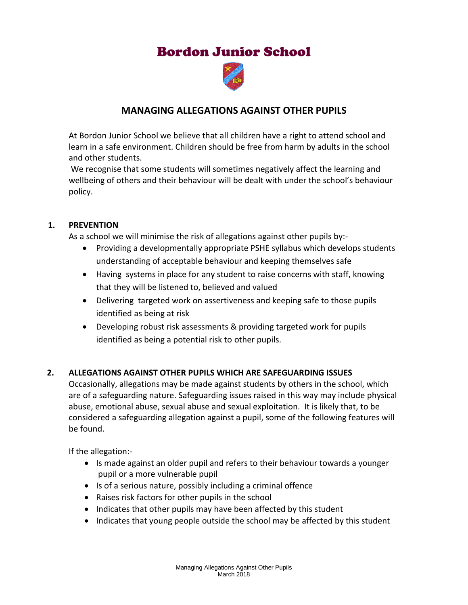# Bordon Junior School



## **MANAGING ALLEGATIONS AGAINST OTHER PUPILS**

At Bordon Junior School we believe that all children have a right to attend school and learn in a safe environment. Children should be free from harm by adults in the school and other students.

We recognise that some students will sometimes negatively affect the learning and wellbeing of others and their behaviour will be dealt with under the school's behaviour policy.

#### **1. PREVENTION**

As a school we will minimise the risk of allegations against other pupils by:-

- Providing a developmentally appropriate PSHE syllabus which develops students understanding of acceptable behaviour and keeping themselves safe
- Having systems in place for any student to raise concerns with staff, knowing that they will be listened to, believed and valued
- Delivering targeted work on assertiveness and keeping safe to those pupils identified as being at risk
- Developing robust risk assessments & providing targeted work for pupils identified as being a potential risk to other pupils.

#### **2. ALLEGATIONS AGAINST OTHER PUPILS WHICH ARE SAFEGUARDING ISSUES**

Occasionally, allegations may be made against students by others in the school, which are of a safeguarding nature. Safeguarding issues raised in this way may include physical abuse, emotional abuse, sexual abuse and sexual exploitation. It is likely that, to be considered a safeguarding allegation against a pupil, some of the following features will be found.

If the allegation:-

- Is made against an older pupil and refers to their behaviour towards a younger pupil or a more vulnerable pupil
- Is of a serious nature, possibly including a criminal offence
- Raises risk factors for other pupils in the school
- Indicates that other pupils may have been affected by this student
- Indicates that young people outside the school may be affected by this student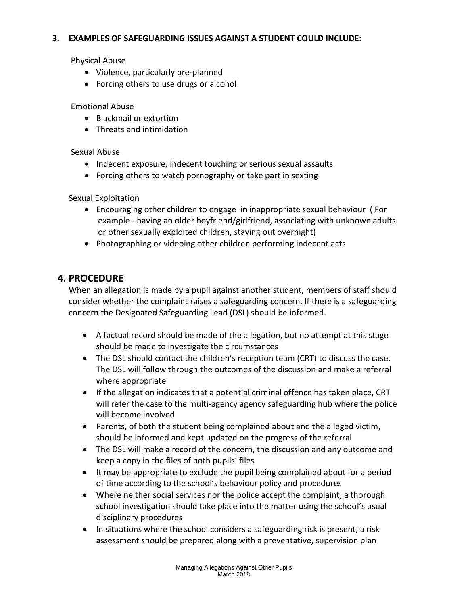#### **3. EXAMPLES OF SAFEGUARDING ISSUES AGAINST A STUDENT COULD INCLUDE:**

Physical Abuse

- Violence, particularly pre-planned
- Forcing others to use drugs or alcohol

#### Emotional Abuse

- Blackmail or extortion
- Threats and intimidation

#### Sexual Abuse

- Indecent exposure, indecent touching or serious sexual assaults
- Forcing others to watch pornography or take part in sexting

Sexual Exploitation

- Encouraging other children to engage in inappropriate sexual behaviour ( For example - having an older boyfriend/girlfriend, associating with unknown adults or other sexually exploited children, staying out overnight)
- Photographing or videoing other children performing indecent acts

### **4. PROCEDURE**

When an allegation is made by a pupil against another student, members of staff should consider whether the complaint raises a safeguarding concern. If there is a safeguarding concern the Designated Safeguarding Lead (DSL) should be informed.

- A factual record should be made of the allegation, but no attempt at this stage should be made to investigate the circumstances
- The DSL should contact the children's reception team (CRT) to discuss the case. The DSL will follow through the outcomes of the discussion and make a referral where appropriate
- If the allegation indicates that a potential criminal offence has taken place, CRT will refer the case to the multi-agency agency safeguarding hub where the police will become involved
- Parents, of both the student being complained about and the alleged victim, should be informed and kept updated on the progress of the referral
- The DSL will make a record of the concern, the discussion and any outcome and keep a copy in the files of both pupils' files
- It may be appropriate to exclude the pupil being complained about for a period of time according to the school's behaviour policy and procedures
- Where neither social services nor the police accept the complaint, a thorough school investigation should take place into the matter using the school's usual disciplinary procedures
- In situations where the school considers a safeguarding risk is present, a risk assessment should be prepared along with a preventative, supervision plan